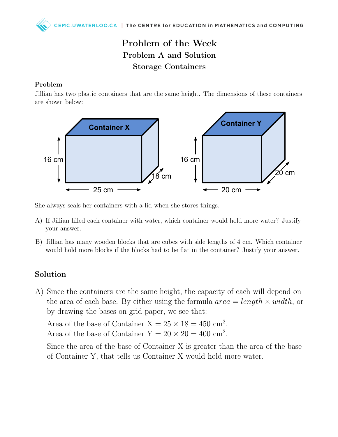## Problem of the Week Problem A and Solution Storage Containers

## Problem

Jillian has two plastic containers that are the same height. The dimensions of these containers are shown below:



She always seals her containers with a lid when she stores things.

- A) If Jillian filled each container with water, which container would hold more water? Justify your answer.
- B) Jillian has many wooden blocks that are cubes with side lengths of 4 cm. Which container would hold more blocks if the blocks had to lie flat in the container? Justify your answer.

## Solution

A) Since the containers are the same height, the capacity of each will depend on the area of each base. By either using the formula  $area = length \times width$ , or by drawing the bases on grid paper, we see that:

Area of the base of Container  $X = 25 \times 18 = 450$  cm<sup>2</sup>. Area of the base of Container  $Y = 20 \times 20 = 400$  cm<sup>2</sup>.

Since the area of the base of Container X is greater than the area of the base of Container Y, that tells us Container X would hold more water.